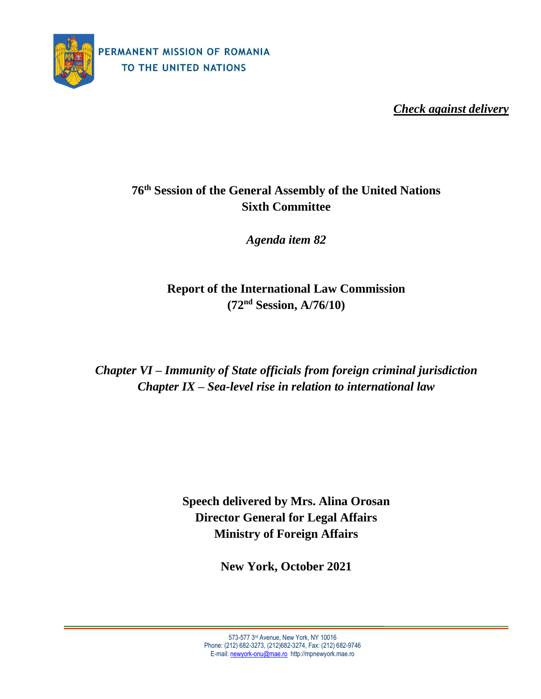

*Check against delivery*

# **76 th Session of the General Assembly of the United Nations Sixth Committee**

*Agenda item 82*

**Report of the International Law Commission (72 nd Session, A/76/10)**

*Chapter VI – Immunity of State officials from foreign criminal jurisdiction Chapter IX – Sea-level rise in relation to international law*

> **Speech delivered by Mrs. Alina Orosan Director General for Legal Affairs Ministry of Foreign Affairs**

> > **New York, October 2021**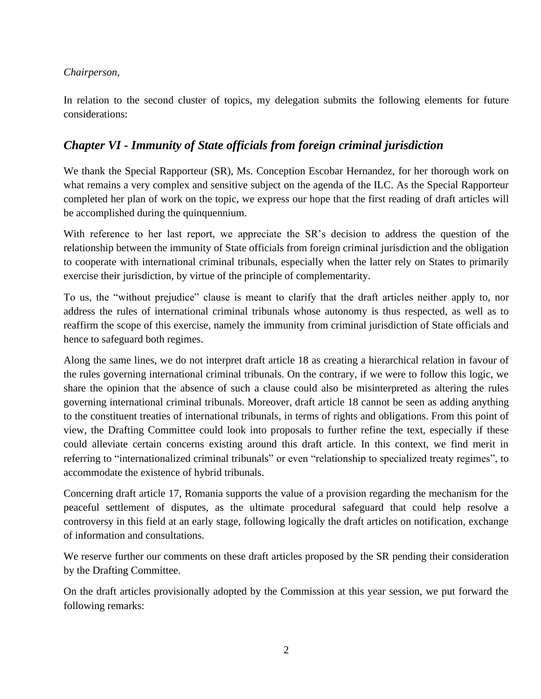### *Chairperson,*

In relation to the second cluster of topics, my delegation submits the following elements for future considerations:

## *Chapter VI - Immunity of State officials from foreign criminal jurisdiction*

We thank the Special Rapporteur (SR), Ms. Conception Escobar Hernandez, for her thorough work on what remains a very complex and sensitive subject on the agenda of the ILC. As the Special Rapporteur completed her plan of work on the topic, we express our hope that the first reading of draft articles will be accomplished during the quinquennium.

With reference to her last report, we appreciate the SR's decision to address the question of the relationship between the immunity of State officials from foreign criminal jurisdiction and the obligation to cooperate with international criminal tribunals, especially when the latter rely on States to primarily exercise their jurisdiction, by virtue of the principle of complementarity.

To us, the "without prejudice" clause is meant to clarify that the draft articles neither apply to, nor address the rules of international criminal tribunals whose autonomy is thus respected, as well as to reaffirm the scope of this exercise, namely the immunity from criminal jurisdiction of State officials and hence to safeguard both regimes.

Along the same lines, we do not interpret draft article 18 as creating a hierarchical relation in favour of the rules governing international criminal tribunals. On the contrary, if we were to follow this logic, we share the opinion that the absence of such a clause could also be misinterpreted as altering the rules governing international criminal tribunals. Moreover, draft article 18 cannot be seen as adding anything to the constituent treaties of international tribunals, in terms of rights and obligations. From this point of view, the Drafting Committee could look into proposals to further refine the text, especially if these could alleviate certain concerns existing around this draft article. In this context, we find merit in referring to "internationalized criminal tribunals" or even "relationship to specialized treaty regimes", to accommodate the existence of hybrid tribunals.

Concerning draft article 17, Romania supports the value of a provision regarding the mechanism for the peaceful settlement of disputes, as the ultimate procedural safeguard that could help resolve a controversy in this field at an early stage, following logically the draft articles on notification, exchange of information and consultations.

We reserve further our comments on these draft articles proposed by the SR pending their consideration by the Drafting Committee.

On the draft articles provisionally adopted by the Commission at this year session, we put forward the following remarks: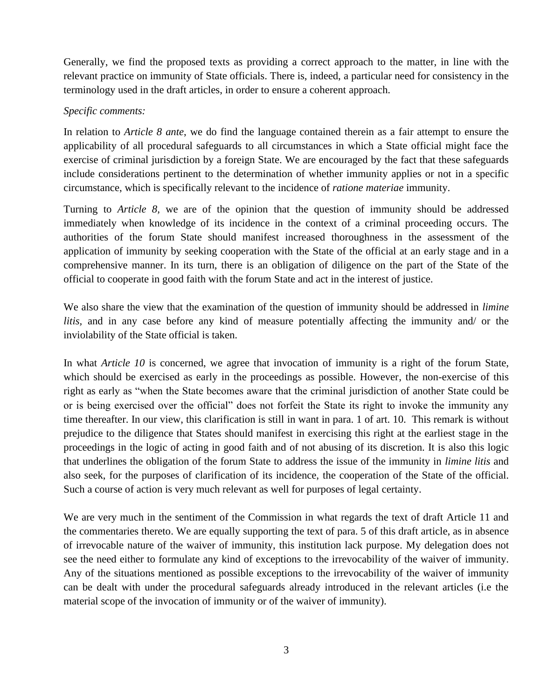Generally, we find the proposed texts as providing a correct approach to the matter, in line with the relevant practice on immunity of State officials. There is, indeed, a particular need for consistency in the terminology used in the draft articles, in order to ensure a coherent approach.

### *Specific comments:*

In relation to *Article 8 ante*, we do find the language contained therein as a fair attempt to ensure the applicability of all procedural safeguards to all circumstances in which a State official might face the exercise of criminal jurisdiction by a foreign State. We are encouraged by the fact that these safeguards include considerations pertinent to the determination of whether immunity applies or not in a specific circumstance, which is specifically relevant to the incidence of *ratione materiae* immunity.

Turning to *Article 8,* we are of the opinion that the question of immunity should be addressed immediately when knowledge of its incidence in the context of a criminal proceeding occurs. The authorities of the forum State should manifest increased thoroughness in the assessment of the application of immunity by seeking cooperation with the State of the official at an early stage and in a comprehensive manner. In its turn, there is an obligation of diligence on the part of the State of the official to cooperate in good faith with the forum State and act in the interest of justice.

We also share the view that the examination of the question of immunity should be addressed in *limine litis,* and in any case before any kind of measure potentially affecting the immunity and/ or the inviolability of the State official is taken.

In what *Article 10* is concerned, we agree that invocation of immunity is a right of the forum State, which should be exercised as early in the proceedings as possible. However, the non-exercise of this right as early as "when the State becomes aware that the criminal jurisdiction of another State could be or is being exercised over the official" does not forfeit the State its right to invoke the immunity any time thereafter. In our view, this clarification is still in want in para. 1 of art. 10. This remark is without prejudice to the diligence that States should manifest in exercising this right at the earliest stage in the proceedings in the logic of acting in good faith and of not abusing of its discretion. It is also this logic that underlines the obligation of the forum State to address the issue of the immunity in *limine litis* and also seek, for the purposes of clarification of its incidence, the cooperation of the State of the official. Such a course of action is very much relevant as well for purposes of legal certainty.

We are very much in the sentiment of the Commission in what regards the text of draft Article 11 and the commentaries thereto. We are equally supporting the text of para. 5 of this draft article, as in absence of irrevocable nature of the waiver of immunity, this institution lack purpose. My delegation does not see the need either to formulate any kind of exceptions to the irrevocability of the waiver of immunity. Any of the situations mentioned as possible exceptions to the irrevocability of the waiver of immunity can be dealt with under the procedural safeguards already introduced in the relevant articles (i.e the material scope of the invocation of immunity or of the waiver of immunity).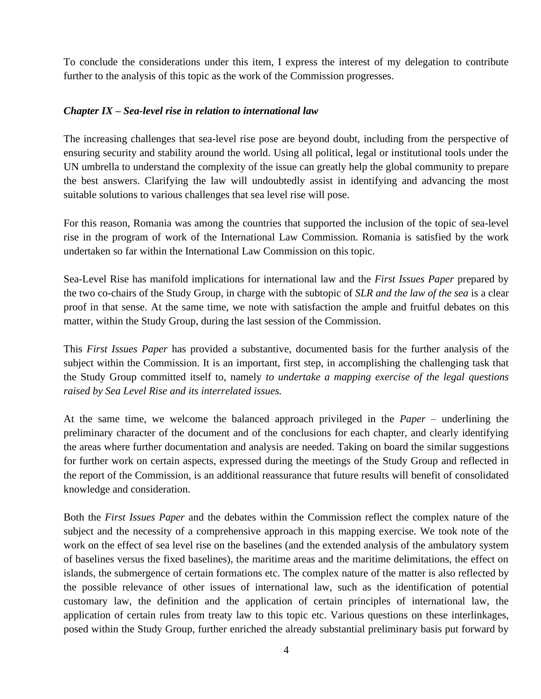To conclude the considerations under this item, I express the interest of my delegation to contribute further to the analysis of this topic as the work of the Commission progresses.

### *Chapter IX – Sea-level rise in relation to international law*

The increasing challenges that sea-level rise pose are beyond doubt, including from the perspective of ensuring security and stability around the world. Using all political, legal or institutional tools under the UN umbrella to understand the complexity of the issue can greatly help the global community to prepare the best answers. Clarifying the law will undoubtedly assist in identifying and advancing the most suitable solutions to various challenges that sea level rise will pose.

For this reason, Romania was among the countries that supported the inclusion of the topic of sea-level rise in the program of work of the International Law Commission. Romania is satisfied by the work undertaken so far within the International Law Commission on this topic.

Sea-Level Rise has manifold implications for international law and the *First Issues Paper* prepared by the two co-chairs of the Study Group, in charge with the subtopic of *SLR and the law of the sea* is a clear proof in that sense. At the same time, we note with satisfaction the ample and fruitful debates on this matter, within the Study Group, during the last session of the Commission.

This *First Issues Paper* has provided a substantive, documented basis for the further analysis of the subject within the Commission. It is an important, first step, in accomplishing the challenging task that the Study Group committed itself to, namely *to undertake a mapping exercise of the legal questions raised by Sea Level Rise and its interrelated issues.*

At the same time, we welcome the balanced approach privileged in the *Paper* – underlining the preliminary character of the document and of the conclusions for each chapter, and clearly identifying the areas where further documentation and analysis are needed. Taking on board the similar suggestions for further work on certain aspects, expressed during the meetings of the Study Group and reflected in the report of the Commission, is an additional reassurance that future results will benefit of consolidated knowledge and consideration.

Both the *First Issues Paper* and the debates within the Commission reflect the complex nature of the subject and the necessity of a comprehensive approach in this mapping exercise. We took note of the work on the effect of sea level rise on the baselines (and the extended analysis of the ambulatory system of baselines versus the fixed baselines), the maritime areas and the maritime delimitations, the effect on islands, the submergence of certain formations etc. The complex nature of the matter is also reflected by the possible relevance of other issues of international law, such as the identification of potential customary law, the definition and the application of certain principles of international law, the application of certain rules from treaty law to this topic etc. Various questions on these interlinkages, posed within the Study Group, further enriched the already substantial preliminary basis put forward by